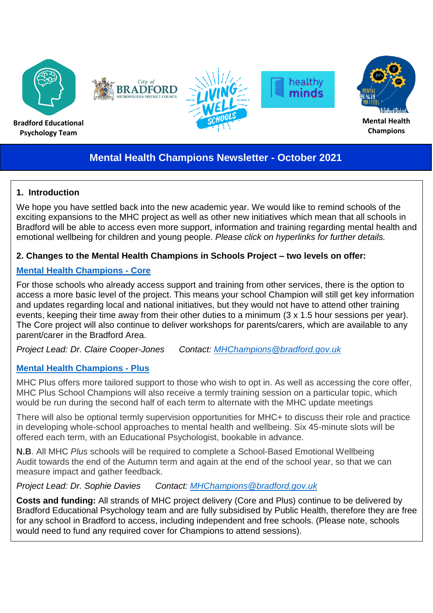

# **Mental Health Champions Newsletter - October 2021**

## **1. Introduction**

We hope you have settled back into the new academic year. We would like to remind schools of the exciting expansions to the MHC project as well as other new initiatives which mean that all schools in Bradford will be able to access even more support, information and training regarding mental health and emotional wellbeing for children and young people. *Please click on hyperlinks for further details.*

#### **2. Changes to the Mental Health Champions in Schools Project – two levels on offer:**

## **[Mental Health Champions -](https://bso.bradford.gov.uk/content/www.mentalhealthmattersinschools.org.uk) Core**

For those schools who already access support and training from other services, there is the option to access a more basic level of the project. This means your school Champion will still get key information and updates regarding local and national initiatives, but they would not have to attend other training events, keeping their time away from their other duties to a minimum (3 x 1.5 hour sessions per year). The Core project will also continue to deliver workshops for parents/carers, which are available to any parent/carer in the Bradford Area.

*Project Lead: Dr. Claire Cooper-Jones Contact: [MHChampions@bradford.gov.uk](mailto:MHChampions@bradford.gov.uk)*

#### **[Mental Health Champions -](https://bso.bradford.gov.uk/content/mental-health-champions-plus) Plus**

MHC Plus offers more tailored support to those who wish to opt in. As well as accessing the core offer, MHC Plus School Champions will also receive a termly training session on a particular topic, which would be run during the second half of each term to alternate with the MHC update meetings

There will also be optional termly supervision opportunities for MHC+ to discuss their role and practice in developing whole-school approaches to mental health and wellbeing. Six 45-minute slots will be offered each term, with an Educational Psychologist, bookable in advance.

**N.B**. All MHC *Plus* schools will be required to complete a School-Based Emotional Wellbeing Audit towards the end of the Autumn term and again at the end of the school year, so that we can measure impact and gather feedback.

*Project Lead: Dr. Sophie Davies Contact: [MHChampions@bradford.gov.uk](mailto:MHChampions@bradford.gov.uk)*

**Costs and funding:** All strands of MHC project delivery (Core and Plus) continue to be delivered by Bradford Educational Psychology team and are fully subsidised by Public Health, therefore they are free for any school in Bradford to access, including independent and free schools. (Please note, schools would need to fund any required cover for Champions to attend sessions).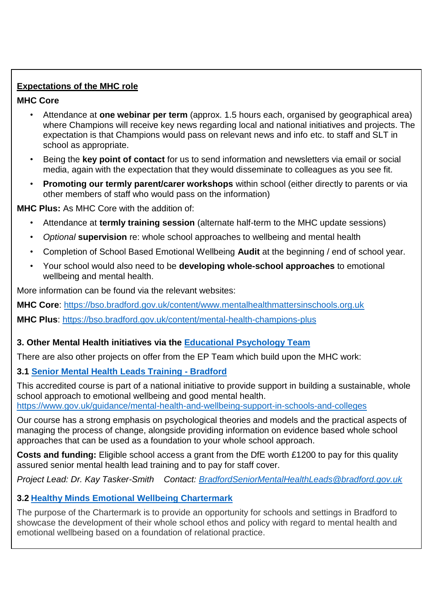## **Expectations of the MHC role**

#### **MHC Core**

- Attendance at **one webinar per term** (approx. 1.5 hours each, organised by geographical area) where Champions will receive key news regarding local and national initiatives and projects. The expectation is that Champions would pass on relevant news and info etc. to staff and SLT in school as appropriate.
- Being the **key point of contact** for us to send information and newsletters via email or social media, again with the expectation that they would disseminate to colleagues as you see fit.
- **Promoting our termly parent/carer workshops** within school (either directly to parents or via other members of staff who would pass on the information)

**MHC Plus:** As MHC Core with the addition of:

- Attendance at **termly training session** (alternate half-term to the MHC update sessions)
- *Optional* **supervision** re: whole school approaches to wellbeing and mental health
- Completion of School Based Emotional Wellbeing **Audit** at the beginning / end of school year.
- Your school would also need to be **developing whole-school approaches** to emotional wellbeing and mental health.

More information can be found via the relevant websites:

**MHC Core**: <https://bso.bradford.gov.uk/content/www.mentalhealthmattersinschools.org.uk>

**MHC Plus**: <https://bso.bradford.gov.uk/content/mental-health-champions-plus>

#### **3. Other Mental Health initiatives via the [Educational Psychology Team](https://bso.bradford.gov.uk/content/educational-psychology)**

There are also other projects on offer from the EP Team which build upon the MHC work:

#### **3.1 [Senior Mental Health Leads Training](https://bso.bradford.gov.uk/content/bradford-dfe-accredited-mental-health-leads-training) - Bradford**

This accredited course is part of a national initiative to provide support in building a sustainable, whole school approach to emotional wellbeing and good mental health. <https://www.gov.uk/guidance/mental-health-and-wellbeing-support-in-schools-and-colleges>

Our course has a strong emphasis on psychological theories and models and the practical aspects of managing the process of change, alongside providing information on evidence based whole school approaches that can be used as a foundation to your whole school approach.

**Costs and funding:** Eligible school access a grant from the DfE worth £1200 to pay for this quality assured senior mental health lead training and to pay for staff cover.

*Project Lead: Dr. Kay Tasker-Smith Contact: [BradfordSeniorMentalHealthLeads@bradford.gov.uk](mailto:BradfordSeniorMentalHealthLeads@bradford.gov.uk)*

#### **3.2 [Healthy Minds Emotional Wellbeing Chartermark](https://bso.bradford.gov.uk/content/bradford-healthy-minds-chartermark)**

The purpose of the Chartermark is to provide an opportunity for schools and settings in Bradford to showcase the development of their whole school ethos and policy with regard to mental health and emotional wellbeing based on a foundation of relational practice.